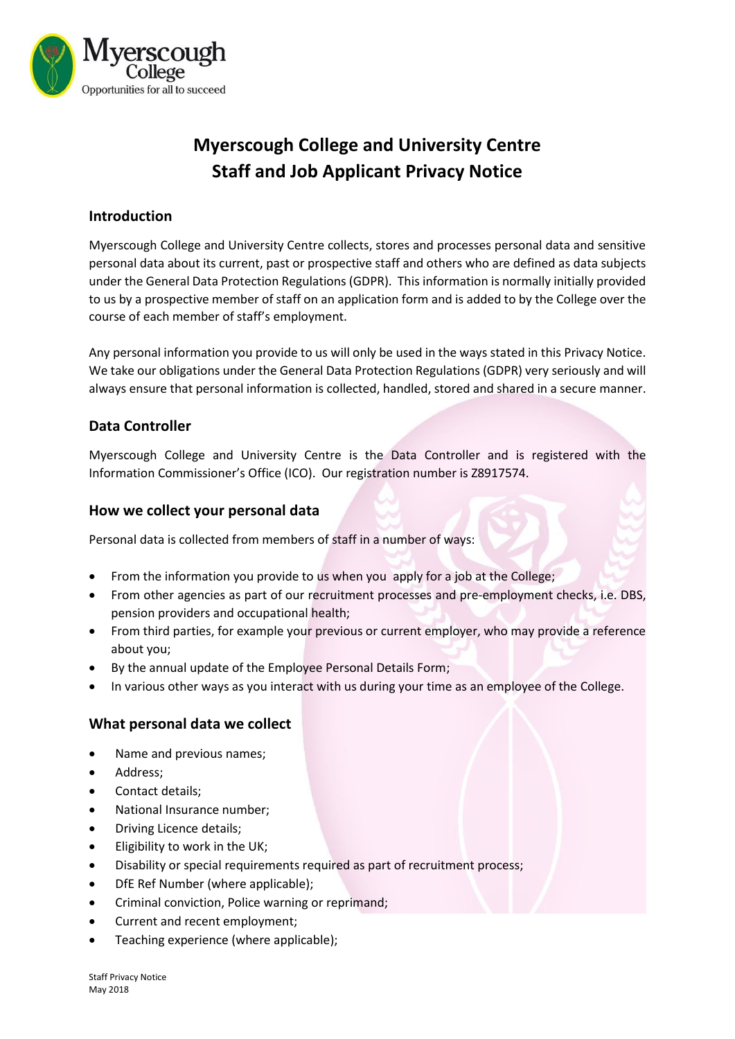

# **Myerscough College and University Centre Staff and Job Applicant Privacy Notice**

## **Introduction**

Myerscough College and University Centre collects, stores and processes personal data and sensitive personal data about its current, past or prospective staff and others who are defined as data subjects under the General Data Protection Regulations (GDPR). This information is normally initially provided to us by a prospective member of staff on an application form and is added to by the College over the course of each member of staff's employment.

Any personal information you provide to us will only be used in the ways stated in this Privacy Notice. We take our obligations under the General Data Protection Regulations (GDPR) very seriously and will always ensure that personal information is collected, handled, stored and shared in a secure manner.

## **Data Controller**

Myerscough College and University Centre is the Data Controller and is registered with the Information Commissioner's Office (ICO). Our registration number is Z8917574.

## **How we collect your personal data**

Personal data is collected from members of staff in a number of ways:

- From the information you provide to us when you apply for a job at the College;
- From other agencies as part of our recruitment processes and pre-employment checks, i.e. DBS, pension providers and occupational health;
- From third parties, for example your previous or current employer, who may provide a reference about you;
- By the annual update of the Employee Personal Details Form;
- In various other ways as you interact with us during your time as an employee of the College.

## **What personal data we collect**

- Name and previous names;
- Address:
- Contact details;
- National Insurance number;
- Driving Licence details;
- Eligibility to work in the UK;
- Disability or special requirements required as part of recruitment process;
- DfE Ref Number (where applicable);
- Criminal conviction, Police warning or reprimand;
- Current and recent employment;
- Teaching experience (where applicable);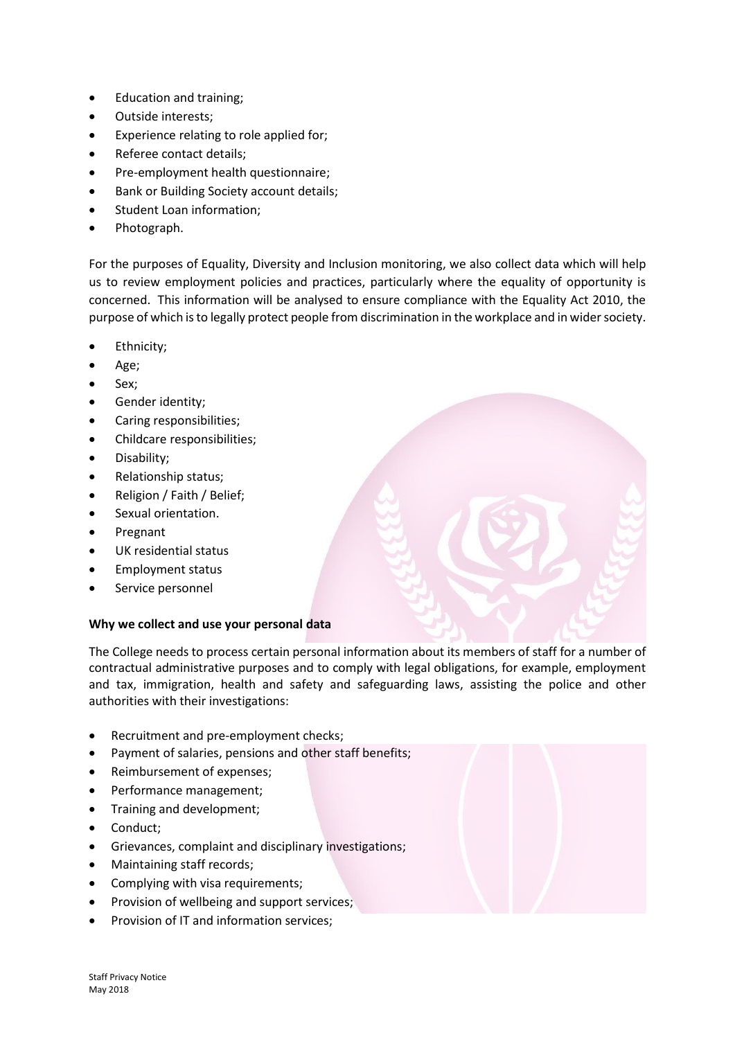- Education and training;
- Outside interests;
- Experience relating to role applied for;
- Referee contact details;
- Pre-employment health questionnaire;
- Bank or Building Society account details;
- Student Loan information;
- Photograph.

For the purposes of Equality, Diversity and Inclusion monitoring, we also collect data which will help us to review employment policies and practices, particularly where the equality of opportunity is concerned. This information will be analysed to ensure compliance with the Equality Act 2010, the purpose of which is to legally protect people from discrimination in the workplace and in wider society.

- Ethnicity;
- Age;
- Sex:
- Gender identity;
- Caring responsibilities;
- Childcare responsibilities;
- Disability;
- Relationship status;
- Religion / Faith / Belief;
- Sexual orientation.
- Pregnant
- UK residential status
- Employment status
- Service personnel

#### **Why we collect and use your personal data**

The College needs to process certain personal information about its members of staff for a number of contractual administrative purposes and to comply with legal obligations, for example, employment and tax, immigration, health and safety and safeguarding laws, assisting the police and other authorities with their investigations:

- Recruitment and pre-employment checks;
- Payment of salaries, pensions and other staff benefits;
- Reimbursement of expenses;
- Performance management;
- Training and development;
- Conduct;
- Grievances, complaint and disciplinary investigations;
- Maintaining staff records;
- Complying with visa requirements;
- Provision of wellbeing and support services;
- Provision of IT and information services;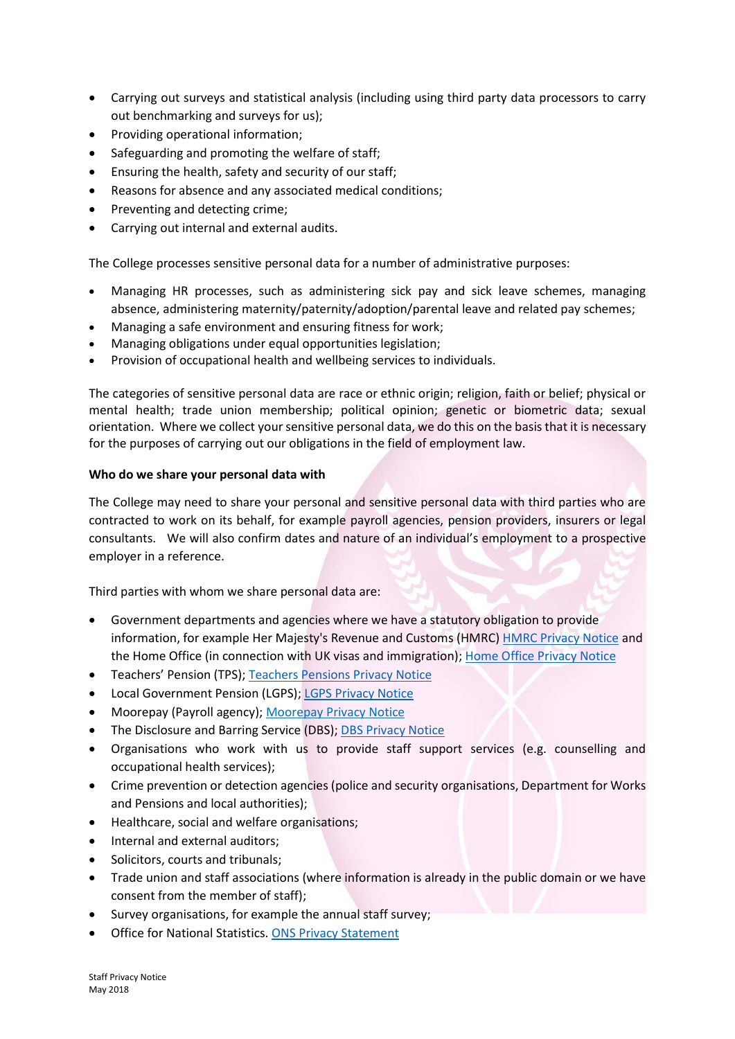- Carrying out surveys and statistical analysis (including using third party data processors to carry out benchmarking and surveys for us);
- Providing operational information;
- Safeguarding and promoting the welfare of staff;
- Ensuring the health, safety and security of our staff;
- Reasons for absence and any associated medical conditions;
- Preventing and detecting crime;
- Carrying out internal and external audits.

The College processes sensitive personal data for a number of administrative purposes:

- Managing HR processes, such as administering sick pay and sick leave schemes, managing absence, administering maternity/paternity/adoption/parental leave and related pay schemes;
- Managing a safe environment and ensuring fitness for work;
- Managing obligations under equal opportunities legislation;
- Provision of occupational health and wellbeing services to individuals.

The categories of sensitive personal data are race or ethnic origin; religion, faith or belief; physical or mental health; trade union membership; political opinion; genetic or biometric data; sexual orientation. Where we collect your sensitive personal data, we do this on the basis that it is necessary for the purposes of carrying out our obligations in the field of employment law.

#### **Who do we share your personal data with**

The College may need to share your personal and sensitive personal data with third parties who are contracted to work on its behalf, for example payroll agencies, pension providers, insurers or legal consultants. We will also confirm dates and nature of an individual's employment to a prospective employer in a reference.

Third parties with whom we share personal data are:

- Government departments and agencies where we have a statutory obligation to provide information, for example Her Majesty's Revenue and Customs (HMRC) [HMRC Privacy Notice](https://www.gov.uk/government/organisations/hm-revenue-customs/about/personal-information-charter) and the Home Office (in connection with UK visas and immigration); [Home Office Privacy Notice](https://www.gov.uk/government/organisations/home-office/about/personal-information-charter)
- Teachers' Pension (TPS); [Teachers Pensions Privacy Notice](https://www.teacherspensions.co.uk/public/privacy.aspx)
- Local Government Pension (LGPS); [LGPS Privacy Notice](https://www.yourpensionservice.org.uk/about-yps/data-protection-act/)
- Moorepay (Payroll agency); [Moorepay Privacy Notice](https://www.moorepay.co.uk/privacy-policies/)
- The Disclosure and Barring Service (DBS); [DBS Privacy Notice](https://www.gov.uk/government/publications/standard-and-enhanced-dbs-check-privacy-policy)
- Organisations who work with us to provide staff support services (e.g. counselling and occupational health services);
- Crime prevention or detection agencies (police and security organisations, Department for Works and Pensions and local authorities);
- Healthcare, social and welfare organisations;
- Internal and external auditors;
- Solicitors, courts and tribunals;
- Trade union and staff associations (where information is already in the public domain or we have consent from the member of staff);
- Survey organisations, for example the annual staff survey;
- Office for National Statistics. [ONS Privacy Statement](https://www.ons.gov.uk/census/censustransformationprogramme/privacystatement)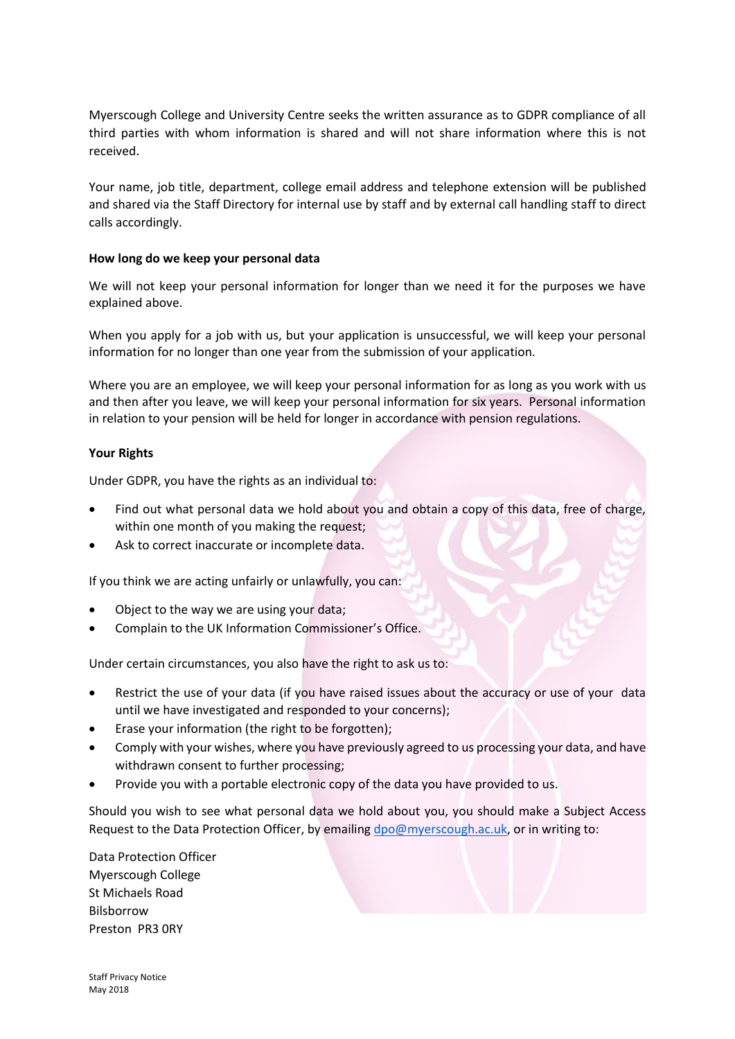Myerscough College and University Centre seeks the written assurance as to GDPR compliance of all third parties with whom information is shared and will not share information where this is not received.

Your name, job title, department, college email address and telephone extension will be published and shared via the Staff Directory for internal use by staff and by external call handling staff to direct calls accordingly.

#### **How long do we keep your personal data**

We will not keep your personal information for longer than we need it for the purposes we have explained above.

When you apply for a job with us, but your application is unsuccessful, we will keep your personal information for no longer than one year from the submission of your application.

Where you are an employee, we will keep your personal information for as long as you work with us and then after you leave, we will keep your personal information for six years. Personal information in relation to your pension will be held for longer in accordance with pension regulations.

#### **Your Rights**

Under GDPR, you have the rights as an individual to:

- Find out what personal data we hold about you and obtain a copy of this data, free of charge, within one month of you making the request;
- Ask to correct inaccurate or incomplete data.

If you think we are acting unfairly or unlawfully, you can:

- Object to the way we are using your data;
- Complain to the [UK Information Commissioner's Office](https://ico.org.uk/).

Under certain circumstances, you also have the right to ask us to:

- Restrict the use of your data (if you have raised issues about the accuracy or use of your data until we have investigated and responded to your concerns);
- Erase your information (the right to be forgotten);
- Comply with your wishes, where you have previously agreed to us processing your data, and have withdrawn consent to further processing;
- Provide you with a portable electronic copy of the data you have provided to us.

Should you wish to see what personal data we hold about you, you should make a Subject Access Request to the Data Protection Officer, by emailin[g dpo@myerscough.ac.uk,](mailto:dpo@myerscough.ac.uk) or in writing to:

Data Protection Officer Myerscough College St Michaels Road Bilsborrow Preston PR3 0RY